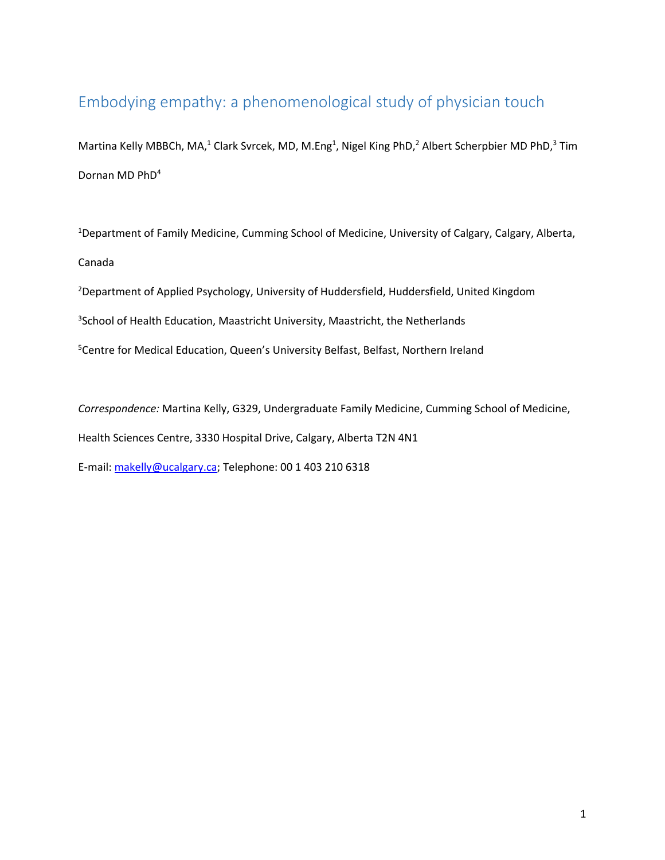# Embodying empathy: a phenomenological study of physician touch

Martina Kelly MBBCh, MA,<sup>1</sup> Clark Svrcek, MD, M.Eng<sup>1</sup>, Nigel King PhD,<sup>2</sup> Albert Scherpbier MD PhD,<sup>3</sup> Tim Dornan MD PhD<sup>4</sup>

<sup>1</sup>Department of Family Medicine, Cumming School of Medicine, University of Calgary, Calgary, Alberta, Canada

<sup>2</sup>Department of Applied Psychology, University of Huddersfield, Huddersfield, United Kingdom

<sup>3</sup>School of Health Education, Maastricht University, Maastricht, the Netherlands

<sup>5</sup>Centre for Medical Education, Queen's University Belfast, Belfast, Northern Ireland

*Correspondence:* Martina Kelly, G329, Undergraduate Family Medicine, Cumming School of Medicine,

Health Sciences Centre, 3330 Hospital Drive, Calgary, Alberta T2N 4N1

E-mail: [makelly@ucalgary.ca;](mailto:makelly@ucalgary.ca) Telephone: 00 1 403 210 6318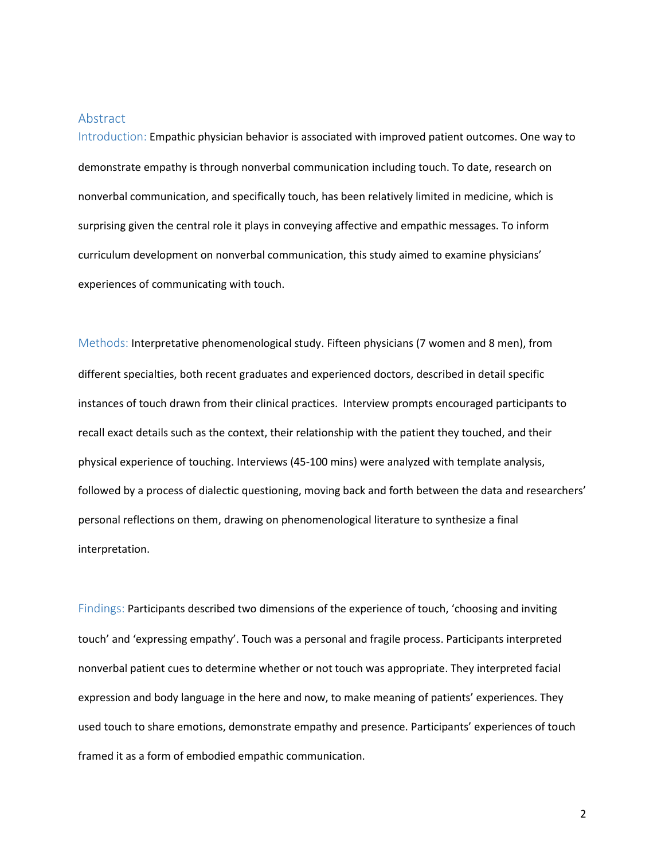### Abstract

Introduction: Empathic physician behavior is associated with improved patient outcomes. One way to demonstrate empathy is through nonverbal communication including touch. To date, research on nonverbal communication, and specifically touch, has been relatively limited in medicine, which is surprising given the central role it plays in conveying affective and empathic messages. To inform curriculum development on nonverbal communication, this study aimed to examine physicians' experiences of communicating with touch.

Methods: Interpretative phenomenological study. Fifteen physicians (7 women and 8 men), from different specialties, both recent graduates and experienced doctors, described in detail specific instances of touch drawn from their clinical practices. Interview prompts encouraged participants to recall exact details such as the context, their relationship with the patient they touched, and their physical experience of touching. Interviews (45-100 mins) were analyzed with template analysis, followed by a process of dialectic questioning, moving back and forth between the data and researchers' personal reflections on them, drawing on phenomenological literature to synthesize a final interpretation.

Findings: Participants described two dimensions of the experience of touch, 'choosing and inviting touch' and 'expressing empathy'. Touch was a personal and fragile process. Participants interpreted nonverbal patient cues to determine whether or not touch was appropriate. They interpreted facial expression and body language in the here and now, to make meaning of patients' experiences. They used touch to share emotions, demonstrate empathy and presence. Participants' experiences of touch framed it as a form of embodied empathic communication.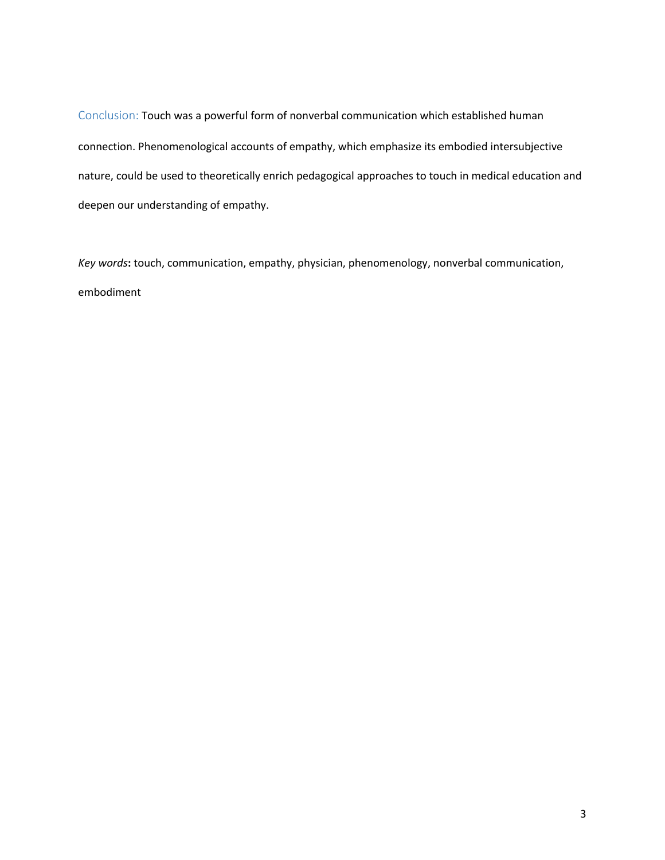Conclusion: Touch was a powerful form of nonverbal communication which established human connection. Phenomenological accounts of empathy, which emphasize its embodied intersubjective nature, could be used to theoretically enrich pedagogical approaches to touch in medical education and deepen our understanding of empathy.

*Key words***:** touch, communication, empathy, physician, phenomenology, nonverbal communication, embodiment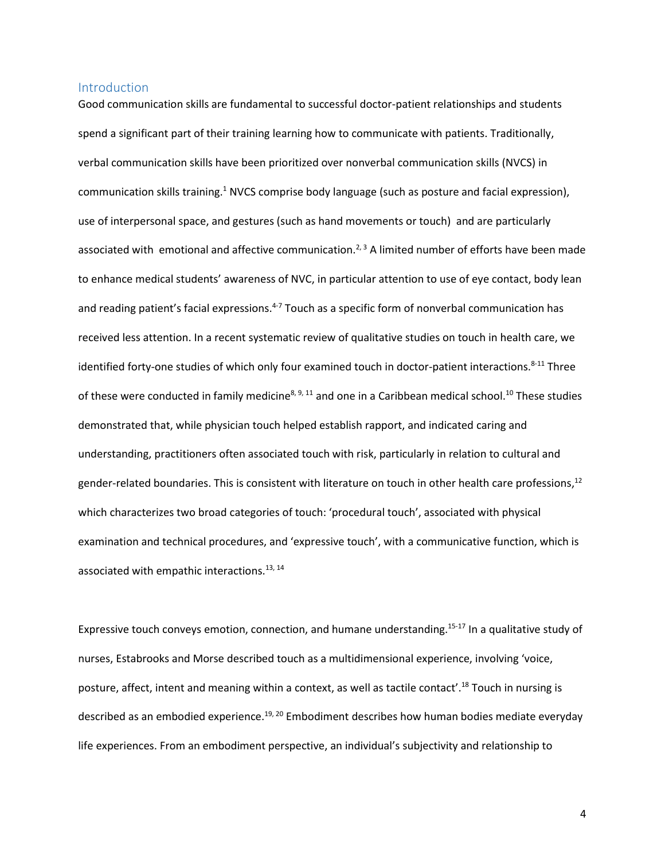#### Introduction

Good communication skills are fundamental to successful doctor-patient relationships and students spend a significant part of their training learning how to communicate with patients. Traditionally, verbal communication skills have been prioritized over nonverbal communication skills (NVCS) in communication skills training.<sup>1</sup> NVCS comprise body language (such as posture and facial expression), use of interpersonal space, and gestures (such as hand movements or touch) and are particularly associated with emotional and affective communication.<sup>2, 3</sup> A limited number of efforts have been made to enhance medical students' awareness of NVC, in particular attention to use of eye contact, body lean and reading patient's facial expressions.<sup>4-7</sup> Touch as a specific form of nonverbal communication has received less attention. In a recent systematic review of qualitative studies on touch in health care, we identified forty-one studies of which only four examined touch in doctor-patient interactions.<sup>8-11</sup> Three of these were conducted in family medicine<sup>8, 9, 11</sup> and one in a Caribbean medical school.<sup>10</sup> These studies demonstrated that, while physician touch helped establish rapport, and indicated caring and understanding, practitioners often associated touch with risk, particularly in relation to cultural and gender-related boundaries. This is consistent with literature on touch in other health care professions,<sup>12</sup> which characterizes two broad categories of touch: 'procedural touch', associated with physical examination and technical procedures, and 'expressive touch', with a communicative function, which is associated with empathic interactions.<sup>13, 14</sup>

Expressive touch conveys emotion, connection, and humane understanding.15-17 In a qualitative study of nurses, Estabrooks and Morse described touch as a multidimensional experience, involving 'voice, posture, affect, intent and meaning within a context, as well as tactile contact'.<sup>18</sup> Touch in nursing is described as an embodied experience.<sup>19, 20</sup> Embodiment describes how human bodies mediate everyday life experiences. From an embodiment perspective, an individual's subjectivity and relationship to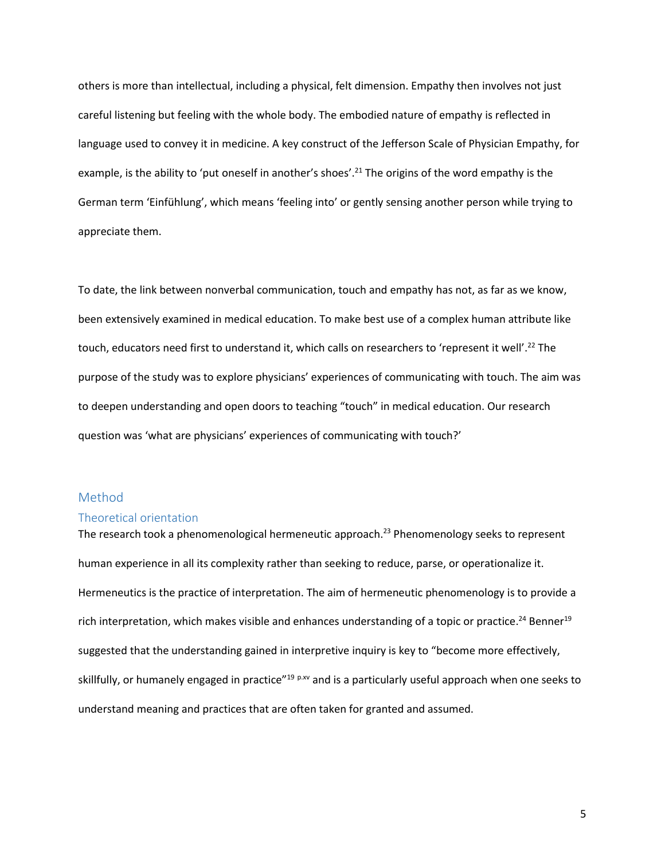others is more than intellectual, including a physical, felt dimension. Empathy then involves not just careful listening but feeling with the whole body. The embodied nature of empathy is reflected in language used to convey it in medicine. A key construct of the Jefferson Scale of Physician Empathy, for example, is the ability to 'put oneself in another's shoes'.<sup>21</sup> The origins of the word empathy is the German term 'Einfühlung', which means 'feeling into' or gently sensing another person while trying to appreciate them.

To date, the link between nonverbal communication, touch and empathy has not, as far as we know, been extensively examined in medical education. To make best use of a complex human attribute like touch, educators need first to understand it, which calls on researchers to 'represent it well'. <sup>22</sup> The purpose of the study was to explore physicians' experiences of communicating with touch. The aim was to deepen understanding and open doors to teaching "touch" in medical education. Our research question was 'what are physicians' experiences of communicating with touch?'

# Method

#### Theoretical orientation

The research took a phenomenological hermeneutic approach.<sup>23</sup> Phenomenology seeks to represent human experience in all its complexity rather than seeking to reduce, parse, or operationalize it. Hermeneutics is the practice of interpretation. The aim of hermeneutic phenomenology is to provide a rich interpretation, which makes visible and enhances understanding of a topic or practice.<sup>24</sup> Benner<sup>19</sup> suggested that the understanding gained in interpretive inquiry is key to "become more effectively, skillfully, or humanely engaged in practice"<sup>19 p.xv</sup> and is a particularly useful approach when one seeks to understand meaning and practices that are often taken for granted and assumed.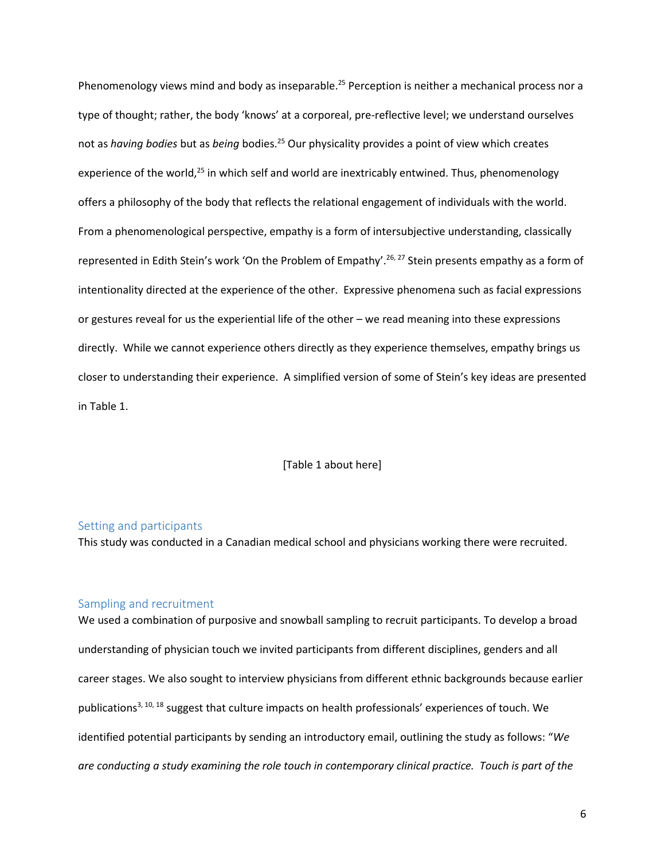Phenomenology views mind and body as inseparable.<sup>25</sup> Perception is neither a mechanical process nor a type of thought; rather, the body 'knows' at a corporeal, pre-reflective level; we understand ourselves not as *having bodies* but as *being* bodies.<sup>25</sup> Our physicality provides a point of view which creates experience of the world,<sup>25</sup> in which self and world are inextricably entwined. Thus, phenomenology offers a philosophy of the body that reflects the relational engagement of individuals with the world. From a phenomenological perspective, empathy is a form of intersubjective understanding, classically represented in Edith Stein's work 'On the Problem of Empathy'. <sup>26, 27</sup> Stein presents empathy as a form of intentionality directed at the experience of the other. Expressive phenomena such as facial expressions or gestures reveal for us the experiential life of the other – we read meaning into these expressions directly. While we cannot experience others directly as they experience themselves, empathy brings us closer to understanding their experience. A simplified version of some of Stein's key ideas are presented in Table 1.

#### [Table 1 about here]

#### Setting and participants

This study was conducted in a Canadian medical school and physicians working there were recruited.

#### Sampling and recruitment

We used a combination of purposive and snowball sampling to recruit participants. To develop a broad understanding of physician touch we invited participants from different disciplines, genders and all career stages. We also sought to interview physicians from different ethnic backgrounds because earlier publications<sup>3, 10, 18</sup> suggest that culture impacts on health professionals' experiences of touch. We identified potential participants by sending an introductory email, outlining the study as follows: "*We are conducting a study examining the role touch in contemporary clinical practice. Touch is part of the*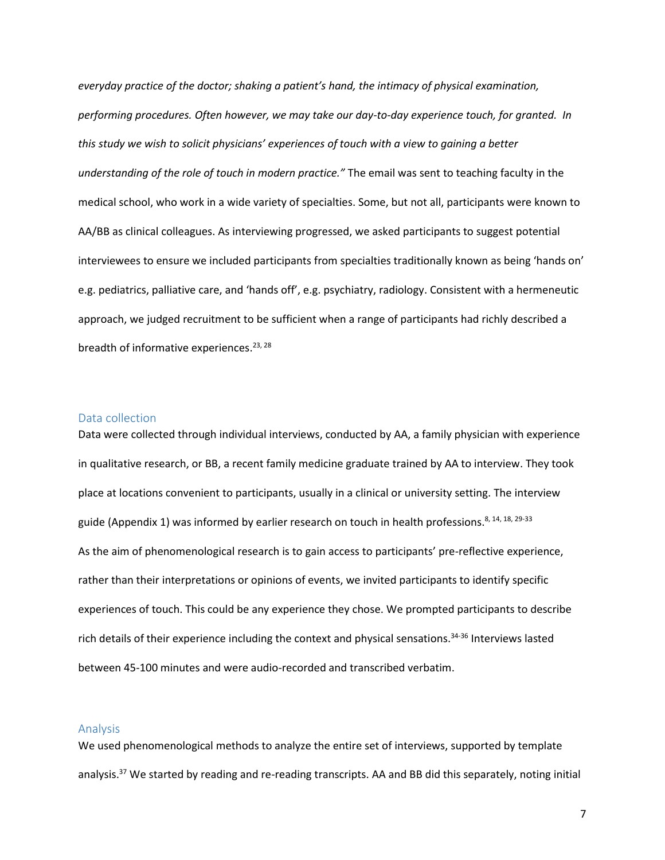*everyday practice of the doctor; shaking a patient's hand, the intimacy of physical examination, performing procedures. Often however, we may take our day-to-day experience touch, for granted. In this study we wish to solicit physicians' experiences of touch with a view to gaining a better understanding of the role of touch in modern practice."* The email was sent to teaching faculty in the medical school, who work in a wide variety of specialties. Some, but not all, participants were known to AA/BB as clinical colleagues. As interviewing progressed, we asked participants to suggest potential interviewees to ensure we included participants from specialties traditionally known as being 'hands on' e.g. pediatrics, palliative care, and 'hands off', e.g. psychiatry, radiology. Consistent with a hermeneutic approach, we judged recruitment to be sufficient when a range of participants had richly described a breadth of informative experiences.<sup>23, 28</sup>

## Data collection

Data were collected through individual interviews, conducted by AA, a family physician with experience in qualitative research, or BB, a recent family medicine graduate trained by AA to interview. They took place at locations convenient to participants, usually in a clinical or university setting. The interview guide (Appendix 1) was informed by earlier research on touch in health professions.<sup>8, 14, 18, 29-33</sup> As the aim of phenomenological research is to gain access to participants' pre-reflective experience, rather than their interpretations or opinions of events, we invited participants to identify specific experiences of touch. This could be any experience they chose. We prompted participants to describe rich details of their experience including the context and physical sensations. 34-36 Interviews lasted between 45-100 minutes and were audio-recorded and transcribed verbatim.

#### Analysis

We used phenomenological methods to analyze the entire set of interviews, supported by template analysis.<sup>37</sup> We started by reading and re-reading transcripts. AA and BB did this separately, noting initial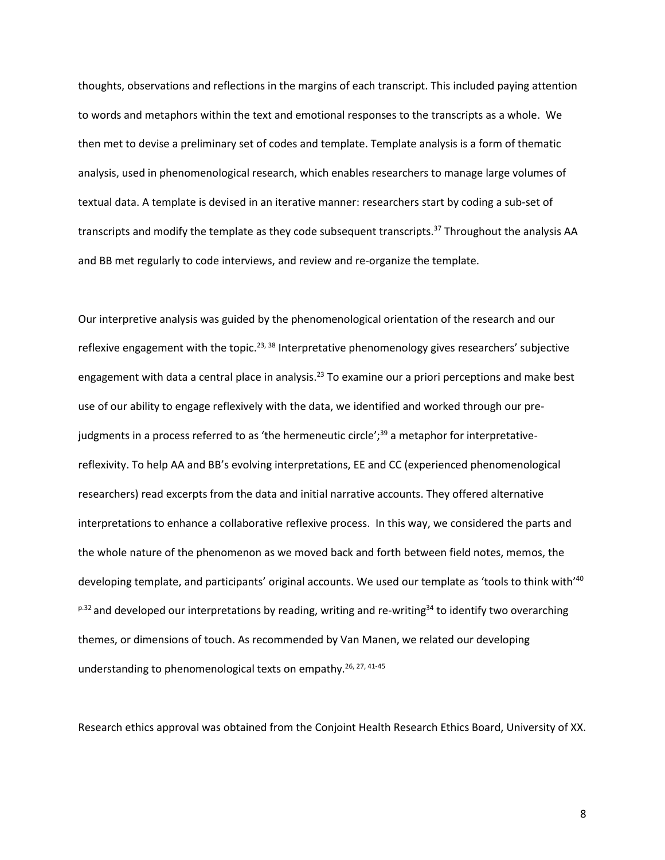thoughts, observations and reflections in the margins of each transcript. This included paying attention to words and metaphors within the text and emotional responses to the transcripts as a whole. We then met to devise a preliminary set of codes and template. Template analysis is a form of thematic analysis, used in phenomenological research, which enables researchers to manage large volumes of textual data. A template is devised in an iterative manner: researchers start by coding a sub-set of transcripts and modify the template as they code subsequent transcripts.<sup>37</sup> Throughout the analysis AA and BB met regularly to code interviews, and review and re-organize the template.

Our interpretive analysis was guided by the phenomenological orientation of the research and our reflexive engagement with the topic.<sup>23, 38</sup> Interpretative phenomenology gives researchers' subjective engagement with data a central place in analysis.<sup>23</sup> To examine our a priori perceptions and make best use of our ability to engage reflexively with the data, we identified and worked through our prejudgments in a process referred to as 'the hermeneutic circle'; $39$  a metaphor for interpretativereflexivity. To help AA and BB's evolving interpretations, EE and CC (experienced phenomenological researchers) read excerpts from the data and initial narrative accounts. They offered alternative interpretations to enhance a collaborative reflexive process. In this way, we considered the parts and the whole nature of the phenomenon as we moved back and forth between field notes, memos, the developing template, and participants' original accounts. We used our template as 'tools to think with'<sup>40</sup>  $p.32$  and developed our interpretations by reading, writing and re-writing<sup>34</sup> to identify two overarching themes, or dimensions of touch. As recommended by Van Manen, we related our developing understanding to phenomenological texts on empathy.<sup>26, 27, 41-45</sup>

Research ethics approval was obtained from the Conjoint Health Research Ethics Board, University of XX.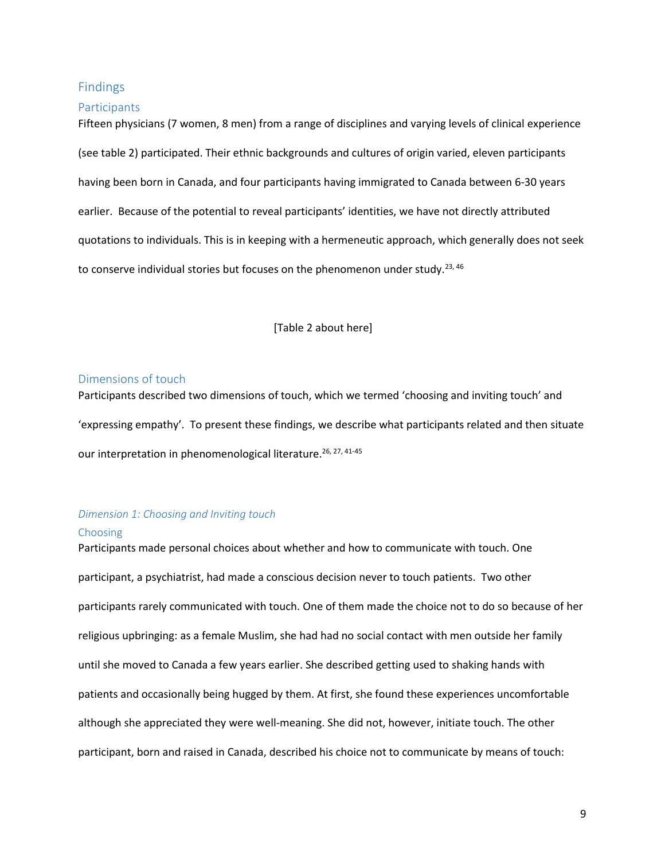### Findings

#### Participants

Fifteen physicians (7 women, 8 men) from a range of disciplines and varying levels of clinical experience (see table 2) participated. Their ethnic backgrounds and cultures of origin varied, eleven participants having been born in Canada, and four participants having immigrated to Canada between 6-30 years earlier. Because of the potential to reveal participants' identities, we have not directly attributed quotations to individuals. This is in keeping with a hermeneutic approach, which generally does not seek to conserve individual stories but focuses on the phenomenon under study. $23,46$ 

#### [Table 2 about here]

#### Dimensions of touch

Participants described two dimensions of touch, which we termed 'choosing and inviting touch' and 'expressing empathy'. To present these findings, we describe what participants related and then situate our interpretation in phenomenological literature.<sup>26, 27, 41-45</sup>

# *Dimension 1: Choosing and Inviting touch*

# Choosing

Participants made personal choices about whether and how to communicate with touch. One participant, a psychiatrist, had made a conscious decision never to touch patients. Two other participants rarely communicated with touch. One of them made the choice not to do so because of her religious upbringing: as a female Muslim, she had had no social contact with men outside her family until she moved to Canada a few years earlier. She described getting used to shaking hands with patients and occasionally being hugged by them. At first, she found these experiences uncomfortable although she appreciated they were well-meaning. She did not, however, initiate touch. The other participant, born and raised in Canada, described his choice not to communicate by means of touch: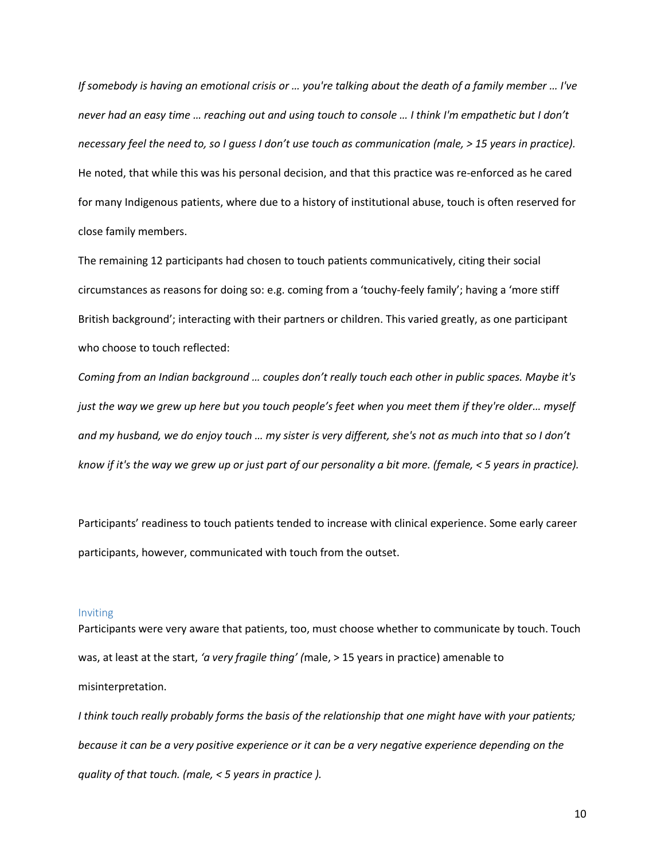*If somebody is having an emotional crisis or … you're talking about the death of a family member … I've never had an easy time … reaching out and using touch to console … I think I'm empathetic but I don't necessary feel the need to, so I guess I don't use touch as communication (male, > 15 years in practice).* He noted, that while this was his personal decision, and that this practice was re-enforced as he cared for many Indigenous patients, where due to a history of institutional abuse, touch is often reserved for close family members.

The remaining 12 participants had chosen to touch patients communicatively, citing their social circumstances as reasons for doing so: e.g. coming from a 'touchy-feely family'; having a 'more stiff British background'; interacting with their partners or children. This varied greatly, as one participant who choose to touch reflected:

*Coming from an Indian background … couples don't really touch each other in public spaces. Maybe it's just the way we grew up here but you touch people's feet when you meet them if they're older… myself and my husband, we do enjoy touch … my sister is very different, she's not as much into that so I don't know if it's the way we grew up or just part of our personality a bit more. (female, < 5 years in practice).*

Participants' readiness to touch patients tended to increase with clinical experience. Some early career participants, however, communicated with touch from the outset.

#### Inviting

Participants were very aware that patients, too, must choose whether to communicate by touch. Touch was, at least at the start, *'a very fragile thing' (*male, > 15 years in practice) amenable to misinterpretation.

*I think touch really probably forms the basis of the relationship that one might have with your patients; because it can be a very positive experience or it can be a very negative experience depending on the quality of that touch. (male, < 5 years in practice ).*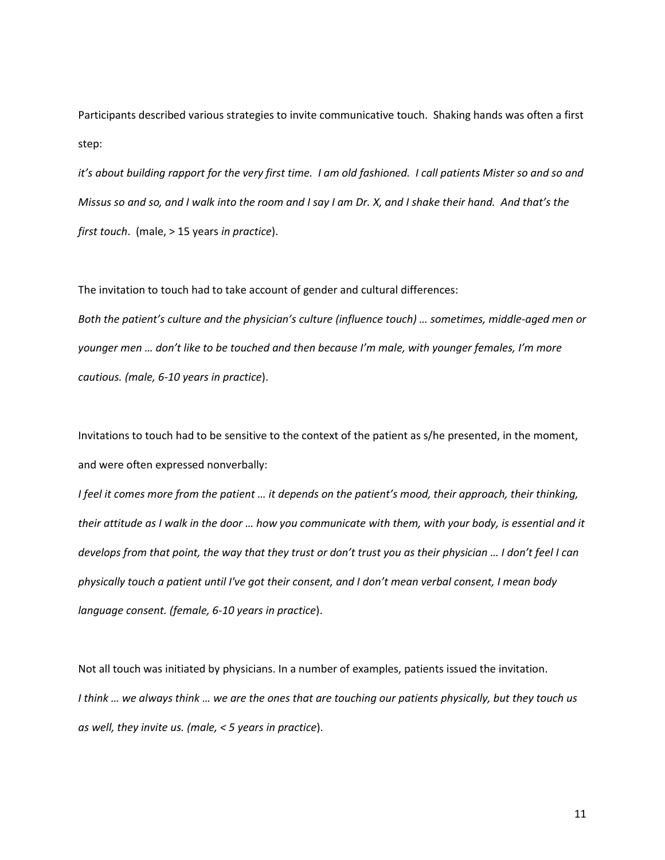Participants described various strategies to invite communicative touch. Shaking hands was often a first step:

*it's about building rapport for the very first time. I am old fashioned. I call patients Mister so and so and Missus so and so, and I walk into the room and I say I am Dr. X, and I shake their hand. And that's the first touch*. (male, > 15 years *in practice*).

The invitation to touch had to take account of gender and cultural differences:

*Both the patient's culture and the physician's culture (influence touch) … sometimes, middle-aged men or younger men … don't like to be touched and then because I'm male, with younger females, I'm more cautious. (male, 6-10 years in practice*).

Invitations to touch had to be sensitive to the context of the patient as s/he presented, in the moment, and were often expressed nonverbally:

*I feel it comes more from the patient … it depends on the patient's mood, their approach, their thinking, their attitude as I walk in the door … how you communicate with them, with your body, is essential and it develops from that point, the way that they trust or don't trust you as their physician … I don't feel I can physically touch a patient until I've got their consent, and I don't mean verbal consent, I mean body language consent. (female, 6-10 years in practice*).

Not all touch was initiated by physicians. In a number of examples, patients issued the invitation. *I think … we always think … we are the ones that are touching our patients physically, but they touch us as well, they invite us. (male, < 5 years in practice*).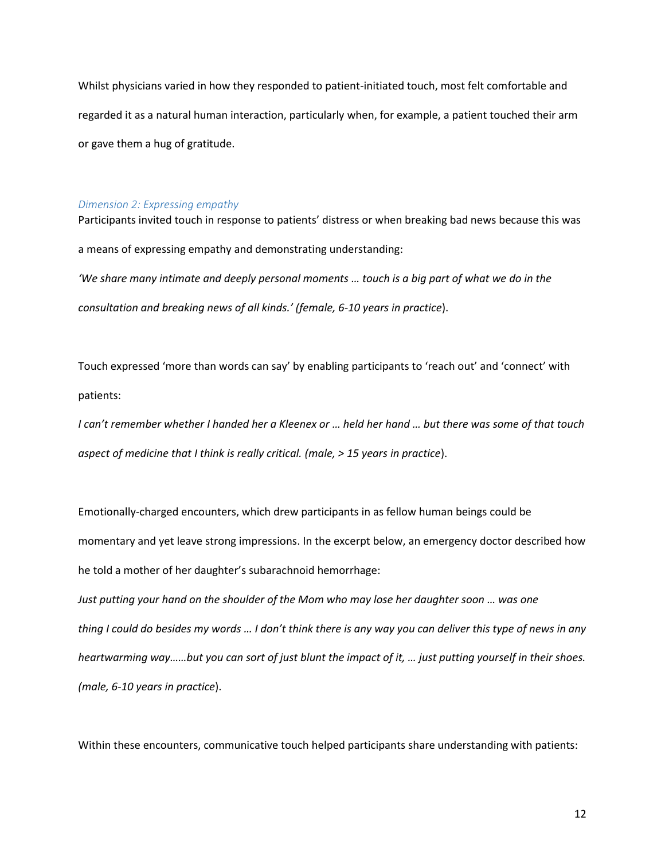Whilst physicians varied in how they responded to patient-initiated touch, most felt comfortable and regarded it as a natural human interaction, particularly when, for example, a patient touched their arm or gave them a hug of gratitude.

#### *Dimension 2: Expressing empathy*

Participants invited touch in response to patients' distress or when breaking bad news because this was a means of expressing empathy and demonstrating understanding:

*'We share many intimate and deeply personal moments … touch is a big part of what we do in the consultation and breaking news of all kinds.' (female, 6-10 years in practice*).

Touch expressed 'more than words can say' by enabling participants to 'reach out' and 'connect' with patients:

*I can't remember whether I handed her a Kleenex or … held her hand … but there was some of that touch aspect of medicine that I think is really critical. (male, > 15 years in practice*).

Emotionally-charged encounters, which drew participants in as fellow human beings could be momentary and yet leave strong impressions. In the excerpt below, an emergency doctor described how he told a mother of her daughter's subarachnoid hemorrhage:

*Just putting your hand on the shoulder of the Mom who may lose her daughter soon … was one thing I could do besides my words … I don't think there is any way you can deliver this type of news in any heartwarming way……but you can sort of just blunt the impact of it, … just putting yourself in their shoes. (male, 6-10 years in practice*).

Within these encounters, communicative touch helped participants share understanding with patients: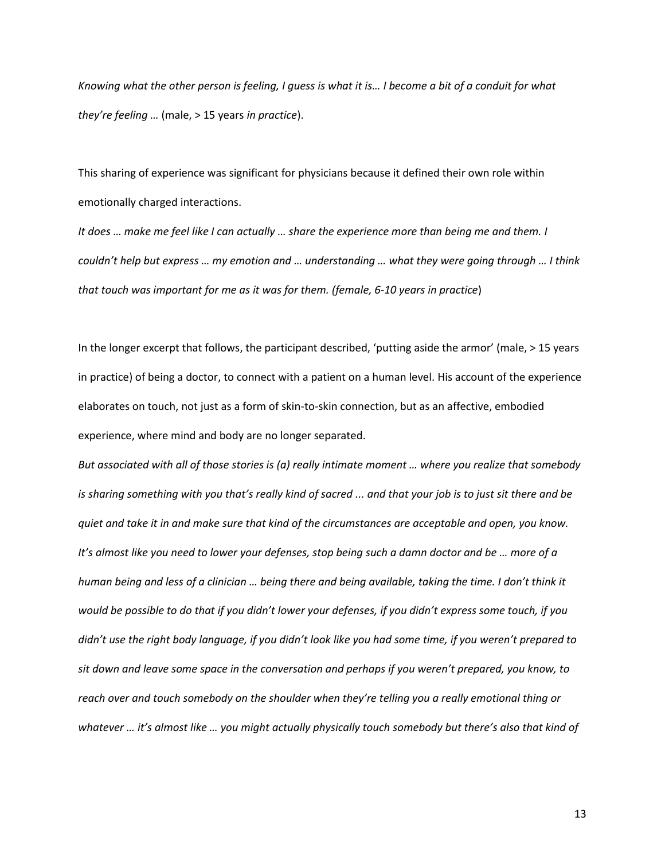*Knowing what the other person is feeling, I guess is what it is… I become a bit of a conduit for what they're feeling …* (male, > 15 years *in practice*).

This sharing of experience was significant for physicians because it defined their own role within emotionally charged interactions.

*It does … make me feel like I can actually … share the experience more than being me and them. I couldn't help but express … my emotion and … understanding … what they were going through … I think that touch was important for me as it was for them. (female, 6-10 years in practice*)

In the longer excerpt that follows, the participant described, 'putting aside the armor' (male, > 15 years in practice) of being a doctor, to connect with a patient on a human level. His account of the experience elaborates on touch, not just as a form of skin-to-skin connection, but as an affective, embodied experience, where mind and body are no longer separated.

*But associated with all of those stories is (a) really intimate moment … where you realize that somebody is sharing something with you that's really kind of sacred ... and that your job is to just sit there and be quiet and take it in and make sure that kind of the circumstances are acceptable and open, you know. It's almost like you need to lower your defenses, stop being such a damn doctor and be … more of a human being and less of a clinician … being there and being available, taking the time. I don't think it would be possible to do that if you didn't lower your defenses, if you didn't express some touch, if you didn't use the right body language, if you didn't look like you had some time, if you weren't prepared to sit down and leave some space in the conversation and perhaps if you weren't prepared, you know, to reach over and touch somebody on the shoulder when they're telling you a really emotional thing or whatever … it's almost like … you might actually physically touch somebody but there's also that kind of*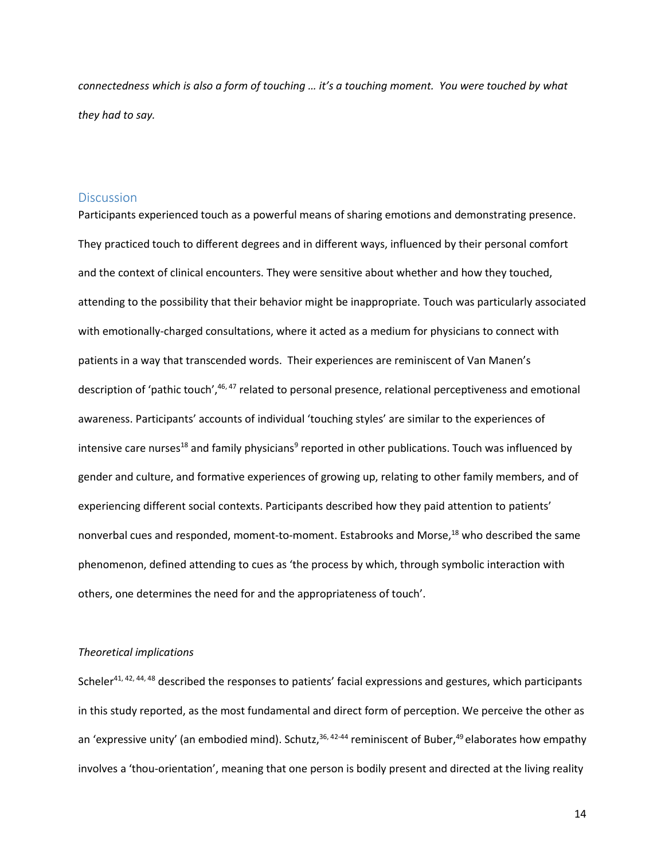*connectedness which is also a form of touching … it's a touching moment. You were touched by what they had to say.*

#### **Discussion**

Participants experienced touch as a powerful means of sharing emotions and demonstrating presence. They practiced touch to different degrees and in different ways, influenced by their personal comfort and the context of clinical encounters. They were sensitive about whether and how they touched, attending to the possibility that their behavior might be inappropriate. Touch was particularly associated with emotionally-charged consultations, where it acted as a medium for physicians to connect with patients in a way that transcended words. Their experiences are reminiscent of Van Manen's description of 'pathic touch',46, 47 related to personal presence, relational perceptiveness and emotional awareness. Participants' accounts of individual 'touching styles' are similar to the experiences of intensive care nurses<sup>18</sup> and family physicians<sup>9</sup> reported in other publications. Touch was influenced by gender and culture, and formative experiences of growing up, relating to other family members, and of experiencing different social contexts. Participants described how they paid attention to patients' nonverbal cues and responded, moment-to-moment. Estabrooks and Morse,<sup>18</sup> who described the same phenomenon, defined attending to cues as 'the process by which, through symbolic interaction with others, one determines the need for and the appropriateness of touch'.

#### *Theoretical implications*

Scheler<sup>41, 42, 44, 48</sup> described the responses to patients' facial expressions and gestures, which participants in this study reported, as the most fundamental and direct form of perception. We perceive the other as an 'expressive unity' (an embodied mind). Schutz,<sup>36, 42-44</sup> reminiscent of Buber,<sup>49</sup> elaborates how empathy involves a 'thou-orientation', meaning that one person is bodily present and directed at the living reality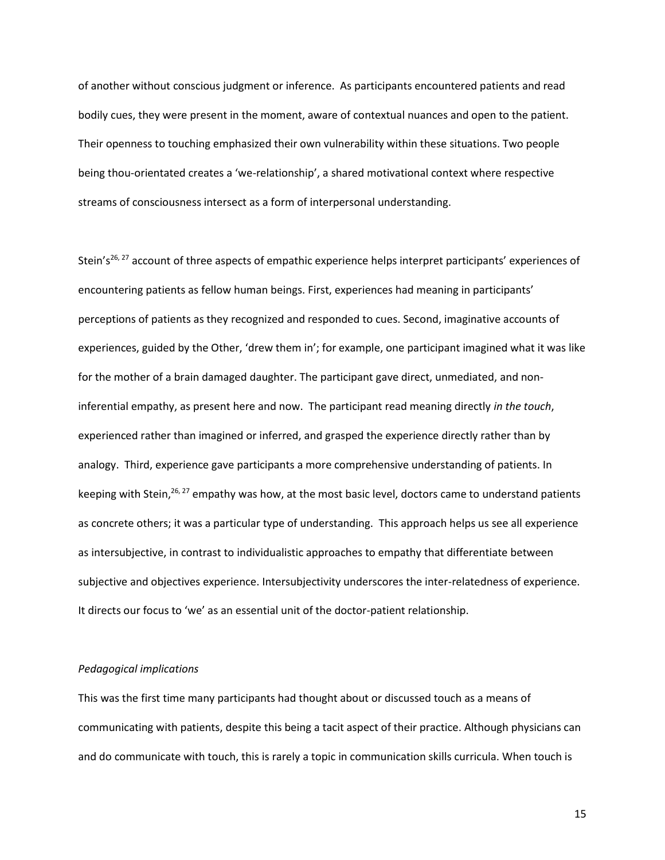of another without conscious judgment or inference. As participants encountered patients and read bodily cues, they were present in the moment, aware of contextual nuances and open to the patient. Their openness to touching emphasized their own vulnerability within these situations. Two people being thou-orientated creates a 'we-relationship', a shared motivational context where respective streams of consciousness intersect as a form of interpersonal understanding.

Stein's<sup>26, 27</sup> account of three aspects of empathic experience helps interpret participants' experiences of encountering patients as fellow human beings. First, experiences had meaning in participants' perceptions of patients as they recognized and responded to cues. Second, imaginative accounts of experiences, guided by the Other, 'drew them in'; for example, one participant imagined what it was like for the mother of a brain damaged daughter. The participant gave direct, unmediated, and noninferential empathy, as present here and now. The participant read meaning directly *in the touch*, experienced rather than imagined or inferred, and grasped the experience directly rather than by analogy. Third, experience gave participants a more comprehensive understanding of patients. In keeping with Stein,<sup>26, 27</sup> empathy was how, at the most basic level, doctors came to understand patients as concrete others; it was a particular type of understanding. This approach helps us see all experience as intersubjective, in contrast to individualistic approaches to empathy that differentiate between subjective and objectives experience. Intersubjectivity underscores the inter-relatedness of experience. It directs our focus to 'we' as an essential unit of the doctor-patient relationship.

# *Pedagogical implications*

This was the first time many participants had thought about or discussed touch as a means of communicating with patients, despite this being a tacit aspect of their practice. Although physicians can and do communicate with touch, this is rarely a topic in communication skills curricula. When touch is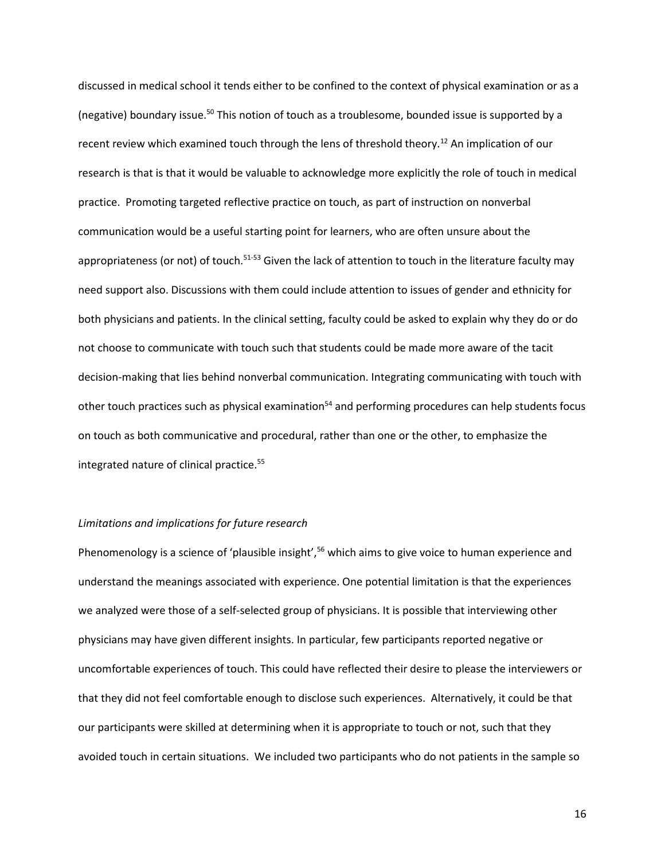discussed in medical school it tends either to be confined to the context of physical examination or as a (negative) boundary issue.<sup>50</sup> This notion of touch as a troublesome, bounded issue is supported by a recent review which examined touch through the lens of threshold theory.<sup>12</sup> An implication of our research is that is that it would be valuable to acknowledge more explicitly the role of touch in medical practice. Promoting targeted reflective practice on touch, as part of instruction on nonverbal communication would be a useful starting point for learners, who are often unsure about the appropriateness (or not) of touch.<sup>51-53</sup> Given the lack of attention to touch in the literature faculty may need support also. Discussions with them could include attention to issues of gender and ethnicity for both physicians and patients. In the clinical setting, faculty could be asked to explain why they do or do not choose to communicate with touch such that students could be made more aware of the tacit decision-making that lies behind nonverbal communication. Integrating communicating with touch with other touch practices such as physical examination<sup>54</sup> and performing procedures can help students focus on touch as both communicative and procedural, rather than one or the other, to emphasize the integrated nature of clinical practice.<sup>55</sup>

#### *Limitations and implications for future research*

Phenomenology is a science of 'plausible insight',<sup>56</sup> which aims to give voice to human experience and understand the meanings associated with experience. One potential limitation is that the experiences we analyzed were those of a self-selected group of physicians. It is possible that interviewing other physicians may have given different insights. In particular, few participants reported negative or uncomfortable experiences of touch. This could have reflected their desire to please the interviewers or that they did not feel comfortable enough to disclose such experiences. Alternatively, it could be that our participants were skilled at determining when it is appropriate to touch or not, such that they avoided touch in certain situations. We included two participants who do not patients in the sample so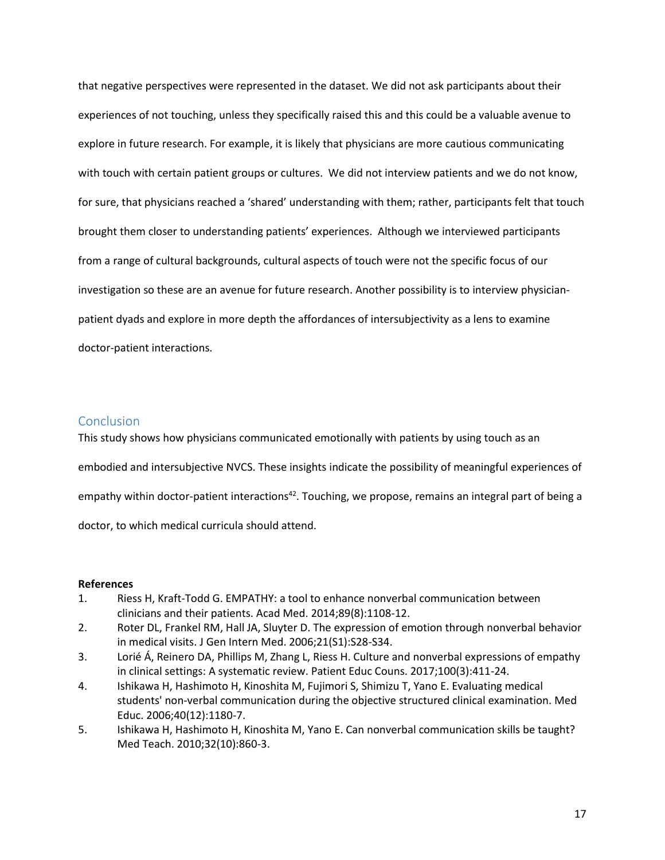that negative perspectives were represented in the dataset. We did not ask participants about their experiences of not touching, unless they specifically raised this and this could be a valuable avenue to explore in future research. For example, it is likely that physicians are more cautious communicating with touch with certain patient groups or cultures. We did not interview patients and we do not know, for sure, that physicians reached a 'shared' understanding with them; rather, participants felt that touch brought them closer to understanding patients' experiences. Although we interviewed participants from a range of cultural backgrounds, cultural aspects of touch were not the specific focus of our investigation so these are an avenue for future research. Another possibility is to interview physicianpatient dyads and explore in more depth the affordances of intersubjectivity as a lens to examine doctor-patient interactions.

# Conclusion

This study shows how physicians communicated emotionally with patients by using touch as an embodied and intersubjective NVCS. These insights indicate the possibility of meaningful experiences of empathy within doctor-patient interactions<sup>42</sup>. Touching, we propose, remains an integral part of being a doctor, to which medical curricula should attend.

#### **References**

- 1. Riess H, Kraft-Todd G. EMPATHY: a tool to enhance nonverbal communication between clinicians and their patients. Acad Med. 2014;89(8):1108-12.
- 2. Roter DL, Frankel RM, Hall JA, Sluyter D. The expression of emotion through nonverbal behavior in medical visits. J Gen Intern Med. 2006;21(S1):S28-S34.
- 3. Lorié Á, Reinero DA, Phillips M, Zhang L, Riess H. Culture and nonverbal expressions of empathy in clinical settings: A systematic review. Patient Educ Couns. 2017;100(3):411-24.
- 4. Ishikawa H, Hashimoto H, Kinoshita M, Fujimori S, Shimizu T, Yano E. Evaluating medical students' non‐verbal communication during the objective structured clinical examination. Med Educ. 2006;40(12):1180-7.
- 5. Ishikawa H, Hashimoto H, Kinoshita M, Yano E. Can nonverbal communication skills be taught? Med Teach. 2010;32(10):860-3.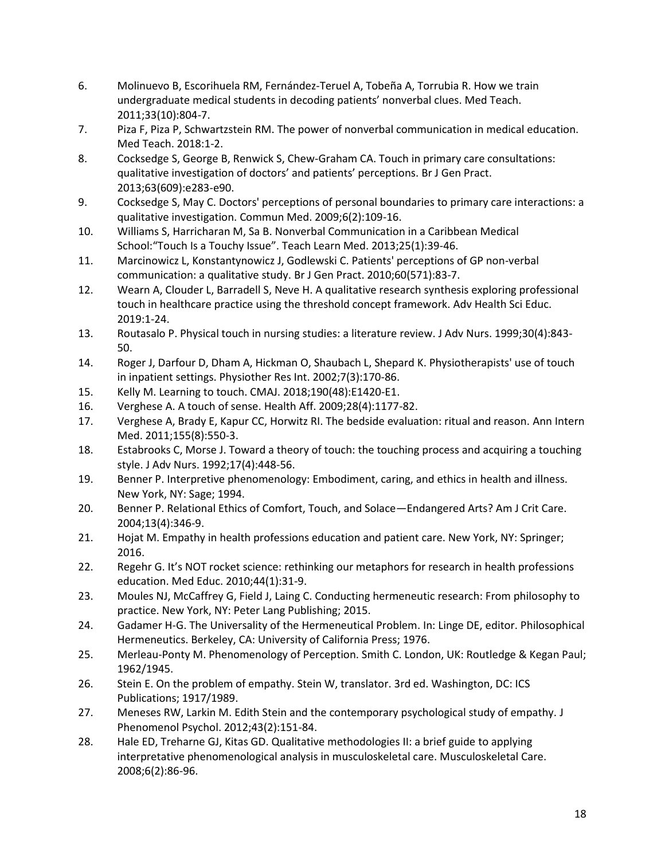- 6. Molinuevo B, Escorihuela RM, Fernández-Teruel A, Tobeña A, Torrubia R. How we train undergraduate medical students in decoding patients' nonverbal clues. Med Teach. 2011;33(10):804-7.
- 7. Piza F, Piza P, Schwartzstein RM. The power of nonverbal communication in medical education. Med Teach. 2018:1-2.
- 8. Cocksedge S, George B, Renwick S, Chew-Graham CA. Touch in primary care consultations: qualitative investigation of doctors' and patients' perceptions. Br J Gen Pract. 2013;63(609):e283-e90.
- 9. Cocksedge S, May C. Doctors' perceptions of personal boundaries to primary care interactions: a qualitative investigation. Commun Med. 2009;6(2):109-16.
- 10. Williams S, Harricharan M, Sa B. Nonverbal Communication in a Caribbean Medical School:"Touch Is a Touchy Issue". Teach Learn Med. 2013;25(1):39-46.
- 11. Marcinowicz L, Konstantynowicz J, Godlewski C. Patients' perceptions of GP non-verbal communication: a qualitative study. Br J Gen Pract. 2010;60(571):83-7.
- 12. Wearn A, Clouder L, Barradell S, Neve H. A qualitative research synthesis exploring professional touch in healthcare practice using the threshold concept framework. Adv Health Sci Educ. 2019:1-24.
- 13. Routasalo P. Physical touch in nursing studies: a literature review. J Adv Nurs. 1999;30(4):843- 50.
- 14. Roger J, Darfour D, Dham A, Hickman O, Shaubach L, Shepard K. Physiotherapists' use of touch in inpatient settings. Physiother Res Int. 2002;7(3):170-86.
- 15. Kelly M. Learning to touch. CMAJ. 2018;190(48):E1420-E1.
- 16. Verghese A. A touch of sense. Health Aff. 2009;28(4):1177-82.
- 17. Verghese A, Brady E, Kapur CC, Horwitz RI. The bedside evaluation: ritual and reason. Ann Intern Med. 2011;155(8):550-3.
- 18. Estabrooks C, Morse J. Toward a theory of touch: the touching process and acquiring a touching style. J Adv Nurs. 1992;17(4):448-56.
- 19. Benner P. Interpretive phenomenology: Embodiment, caring, and ethics in health and illness. New York, NY: Sage; 1994.
- 20. Benner P. Relational Ethics of Comfort, Touch, and Solace—Endangered Arts? Am J Crit Care. 2004;13(4):346-9.
- 21. Hojat M. Empathy in health professions education and patient care. New York, NY: Springer; 2016.
- 22. Regehr G. It's NOT rocket science: rethinking our metaphors for research in health professions education. Med Educ. 2010;44(1):31-9.
- 23. Moules NJ, McCaffrey G, Field J, Laing C. Conducting hermeneutic research: From philosophy to practice. New York, NY: Peter Lang Publishing; 2015.
- 24. Gadamer H-G. The Universality of the Hermeneutical Problem. In: Linge DE, editor. Philosophical Hermeneutics. Berkeley, CA: University of California Press; 1976.
- 25. Merleau-Ponty M. Phenomenology of Perception. Smith C. London, UK: Routledge & Kegan Paul; 1962/1945.
- 26. Stein E. On the problem of empathy. Stein W, translator. 3rd ed. Washington, DC: ICS Publications; 1917/1989.
- 27. Meneses RW, Larkin M. Edith Stein and the contemporary psychological study of empathy. J Phenomenol Psychol. 2012;43(2):151-84.
- 28. Hale ED, Treharne GJ, Kitas GD. Qualitative methodologies II: a brief guide to applying interpretative phenomenological analysis in musculoskeletal care. Musculoskeletal Care. 2008;6(2):86-96.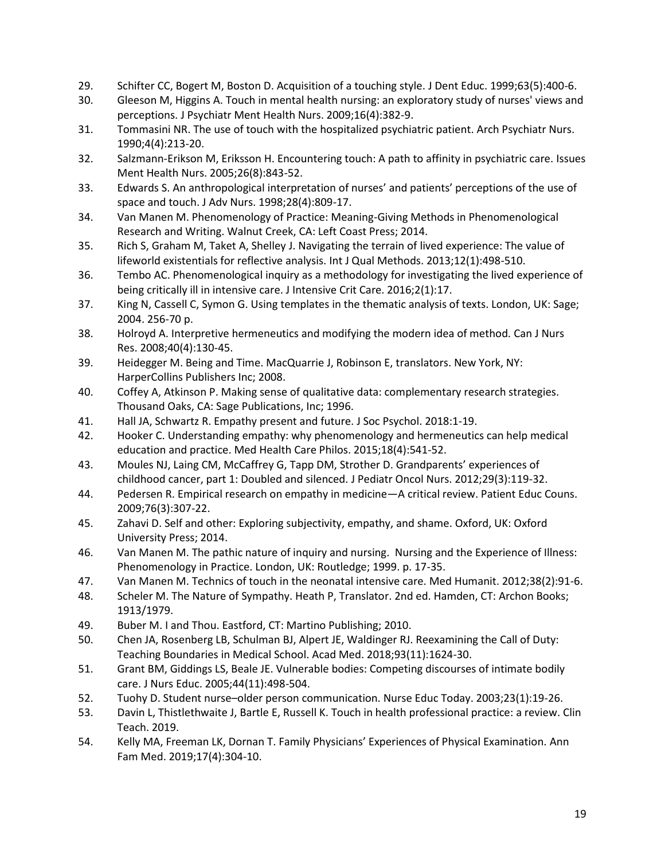- 29. Schifter CC, Bogert M, Boston D. Acquisition of a touching style. J Dent Educ. 1999;63(5):400-6.
- 30. Gleeson M, Higgins A. Touch in mental health nursing: an exploratory study of nurses' views and perceptions. J Psychiatr Ment Health Nurs. 2009;16(4):382-9.
- 31. Tommasini NR. The use of touch with the hospitalized psychiatric patient. Arch Psychiatr Nurs. 1990;4(4):213-20.
- 32. Salzmann-Erikson M, Eriksson H. Encountering touch: A path to affinity in psychiatric care. Issues Ment Health Nurs. 2005;26(8):843-52.
- 33. Edwards S. An anthropological interpretation of nurses' and patients' perceptions of the use of space and touch. J Adv Nurs. 1998;28(4):809-17.
- 34. Van Manen M. Phenomenology of Practice: Meaning-Giving Methods in Phenomenological Research and Writing. Walnut Creek, CA: Left Coast Press; 2014.
- 35. Rich S, Graham M, Taket A, Shelley J. Navigating the terrain of lived experience: The value of lifeworld existentials for reflective analysis. Int J Qual Methods. 2013;12(1):498-510.
- 36. Tembo AC. Phenomenological inquiry as a methodology for investigating the lived experience of being critically ill in intensive care. J Intensive Crit Care. 2016;2(1):17.
- 37. King N, Cassell C, Symon G. Using templates in the thematic analysis of texts. London, UK: Sage; 2004. 256-70 p.
- 38. Holroyd A. Interpretive hermeneutics and modifying the modern idea of method. Can J Nurs Res. 2008;40(4):130-45.
- 39. Heidegger M. Being and Time. MacQuarrie J, Robinson E, translators. New York, NY: HarperCollins Publishers Inc; 2008.
- 40. Coffey A, Atkinson P. Making sense of qualitative data: complementary research strategies. Thousand Oaks, CA: Sage Publications, Inc; 1996.
- 41. Hall JA, Schwartz R. Empathy present and future. J Soc Psychol. 2018:1-19.
- 42. Hooker C. Understanding empathy: why phenomenology and hermeneutics can help medical education and practice. Med Health Care Philos. 2015;18(4):541-52.
- 43. Moules NJ, Laing CM, McCaffrey G, Tapp DM, Strother D. Grandparents' experiences of childhood cancer, part 1: Doubled and silenced. J Pediatr Oncol Nurs. 2012;29(3):119-32.
- 44. Pedersen R. Empirical research on empathy in medicine—A critical review. Patient Educ Couns. 2009;76(3):307-22.
- 45. Zahavi D. Self and other: Exploring subjectivity, empathy, and shame. Oxford, UK: Oxford University Press; 2014.
- 46. Van Manen M. The pathic nature of inquiry and nursing. Nursing and the Experience of Illness: Phenomenology in Practice. London, UK: Routledge; 1999. p. 17-35.
- 47. Van Manen M. Technics of touch in the neonatal intensive care. Med Humanit. 2012;38(2):91-6.
- 48. Scheler M. The Nature of Sympathy. Heath P, Translator. 2nd ed. Hamden, CT: Archon Books; 1913/1979.
- 49. Buber M. I and Thou. Eastford, CT: Martino Publishing; 2010.
- 50. Chen JA, Rosenberg LB, Schulman BJ, Alpert JE, Waldinger RJ. Reexamining the Call of Duty: Teaching Boundaries in Medical School. Acad Med. 2018;93(11):1624-30.
- 51. Grant BM, Giddings LS, Beale JE. Vulnerable bodies: Competing discourses of intimate bodily care. J Nurs Educ. 2005;44(11):498-504.
- 52. Tuohy D. Student nurse–older person communication. Nurse Educ Today. 2003;23(1):19-26.
- 53. Davin L, Thistlethwaite J, Bartle E, Russell K. Touch in health professional practice: a review. Clin Teach. 2019.
- 54. Kelly MA, Freeman LK, Dornan T. Family Physicians' Experiences of Physical Examination. Ann Fam Med. 2019;17(4):304-10.